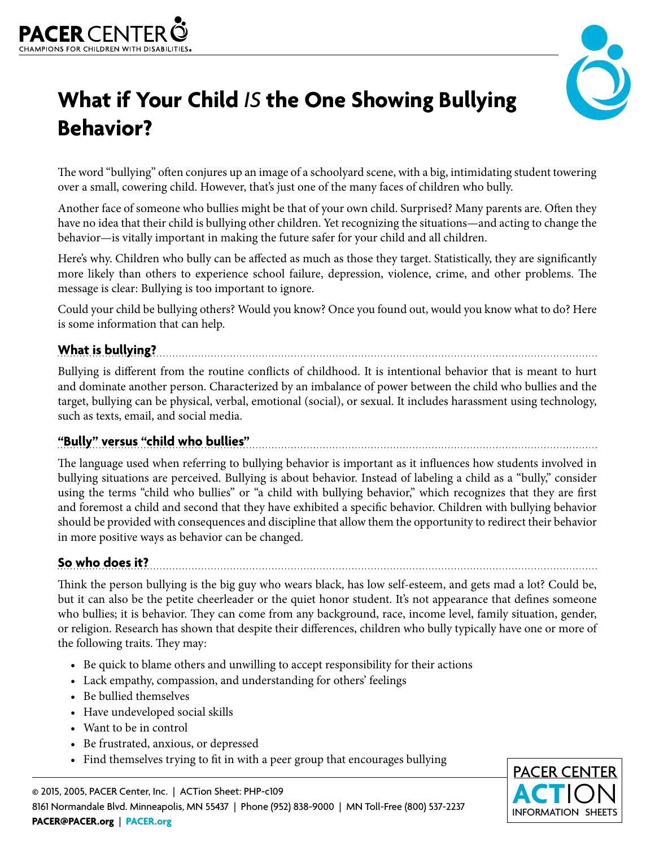



# **What if Your Child** *IS* **the One Showing Bullying Behavior?**

The word "bullying" often conjures up an image of a schoolyard scene, with a big, intimidating student towering over a small, cowering child. However, that's just one of the many faces of children who bully.

Another face of someone who bullies might be that of your own child. Surprised? Many parents are. Often they have no idea that their child is bullying other children. Yet recognizing the situations—and acting to change the behavior—is vitally important in making the future safer for your child and all children.

Here's why. Children who bully can be affected as much as those they target. Statistically, they are significantly more likely than others to experience school failure, depression, violence, crime, and other problems. The message is clear: Bullying is too important to ignore.

Could your child be bullying others? Would you know? Once you found out, would you know what to do? Here is some information that can help.

# **What is bullying?**

Bullying is different from the routine conflicts of childhood. It is intentional behavior that is meant to hurt and dominate another person. Characterized by an imbalance of power between the child who bullies and the target, bullying can be physical, verbal, emotional (social), or sexual. It includes harassment using technology, such as texts, email, and social media.

# **"Bully" versus "child who bullies"**

The language used when referring to bullying behavior is important as it influences how students involved in bullying situations are perceived. Bullying is about behavior. Instead of labeling a child as a "bully," consider using the terms "child who bullies" or "a child with bullying behavior," which recognizes that they are first and foremost a child and second that they have exhibited a specific behavior. Children with bullying behavior should be provided with consequences and discipline that allow them the opportunity to redirect their behavior in more positive ways as behavior can be changed.

# **So who does it?**

Think the person bullying is the big guy who wears black, has low self-esteem, and gets mad a lot? Could be, but it can also be the petite cheerleader or the quiet honor student. It's not appearance that defines someone who bullies; it is behavior. They can come from any background, race, income level, family situation, gender, or religion. Research has shown that despite their differences, children who bully typically have one or more of the following traits. They may:

- Be quick to blame others and unwilling to accept responsibility for their actions
- Lack empathy, compassion, and understanding for others' feelings
- Be bullied themselves
- Have undeveloped social skills
- Want to be in control
- Be frustrated, anxious, or depressed
- Find themselves trying to fit in with a peer group that encourages bullying

© 2015, 2005, PACER Center, Inc. | ACTion Sheet: PHP-c109 8161 Normandale Blvd. Minneapolis, MN 55437 | Phone (952) 838-9000 | MN Toll-Free (800) 537-2237 **PACER@PACER.org** | **[PACER.org](http://PACER.org)**

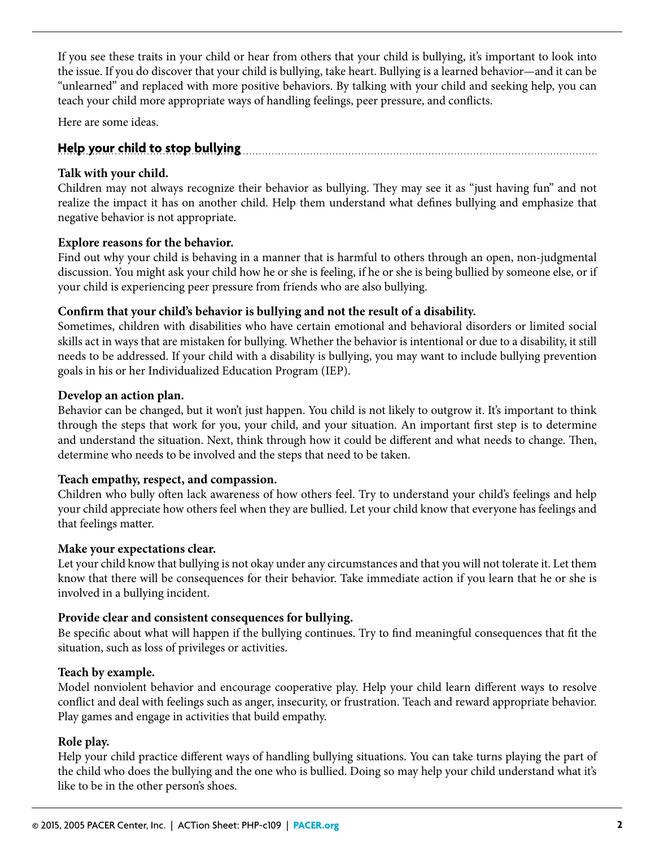If you see these traits in your child or hear from others that your child is bullying, it's important to look into the issue. If you do discover that your child is bullying, take heart. Bullying is a learned behavior—and it can be "unlearned" and replaced with more positive behaviors. By talking with your child and seeking help, you can teach your child more appropriate ways of handling feelings, peer pressure, and conflicts.

Here are some ideas.

## **Help your child to stop bullying**

#### **Talk with your child.**

Children may not always recognize their behavior as bullying. They may see it as "just having fun" and not realize the impact it has on another child. Help them understand what defines bullying and emphasize that negative behavior is not appropriate.

#### **Explore reasons for the behavior.**

Find out why your child is behaving in a manner that is harmful to others through an open, non-judgmental discussion. You might ask your child how he or she is feeling, if he or she is being bullied by someone else, or if your child is experiencing peer pressure from friends who are also bullying.

## **Confirm that your child's behavior is bullying and not the result of a disability.**

Sometimes, children with disabilities who have certain emotional and behavioral disorders or limited social skills act in ways that are mistaken for bullying. Whether the behavior is intentional or due to a disability, it still needs to be addressed. If your child with a disability is bullying, you may want to include bullying prevention goals in his or her Individualized Education Program (IEP).

#### **Develop an action plan.**

Behavior can be changed, but it won't just happen. You child is not likely to outgrow it. It's important to think through the steps that work for you, your child, and your situation. An important first step is to determine and understand the situation. Next, think through how it could be different and what needs to change. Then, determine who needs to be involved and the steps that need to be taken.

## **Teach empathy, respect, and compassion.**

Children who bully often lack awareness of how others feel. Try to understand your child's feelings and help your child appreciate how others feel when they are bullied. Let your child know that everyone has feelings and that feelings matter.

#### **Make your expectations clear.**

Let your child know that bullying is not okay under any circumstances and that you will not tolerate it. Let them know that there will be consequences for their behavior. Take immediate action if you learn that he or she is involved in a bullying incident.

#### **Provide clear and consistent consequences for bullying.**

Be specific about what will happen if the bullying continues. Try to find meaningful consequences that fit the situation, such as loss of privileges or activities.

#### **Teach by example.**

Model nonviolent behavior and encourage cooperative play. Help your child learn different ways to resolve conflict and deal with feelings such as anger, insecurity, or frustration. Teach and reward appropriate behavior. Play games and engage in activities that build empathy.

## **Role play.**

Help your child practice different ways of handling bullying situations. You can take turns playing the part of the child who does the bullying and the one who is bullied. Doing so may help your child understand what it's like to be in the other person's shoes.